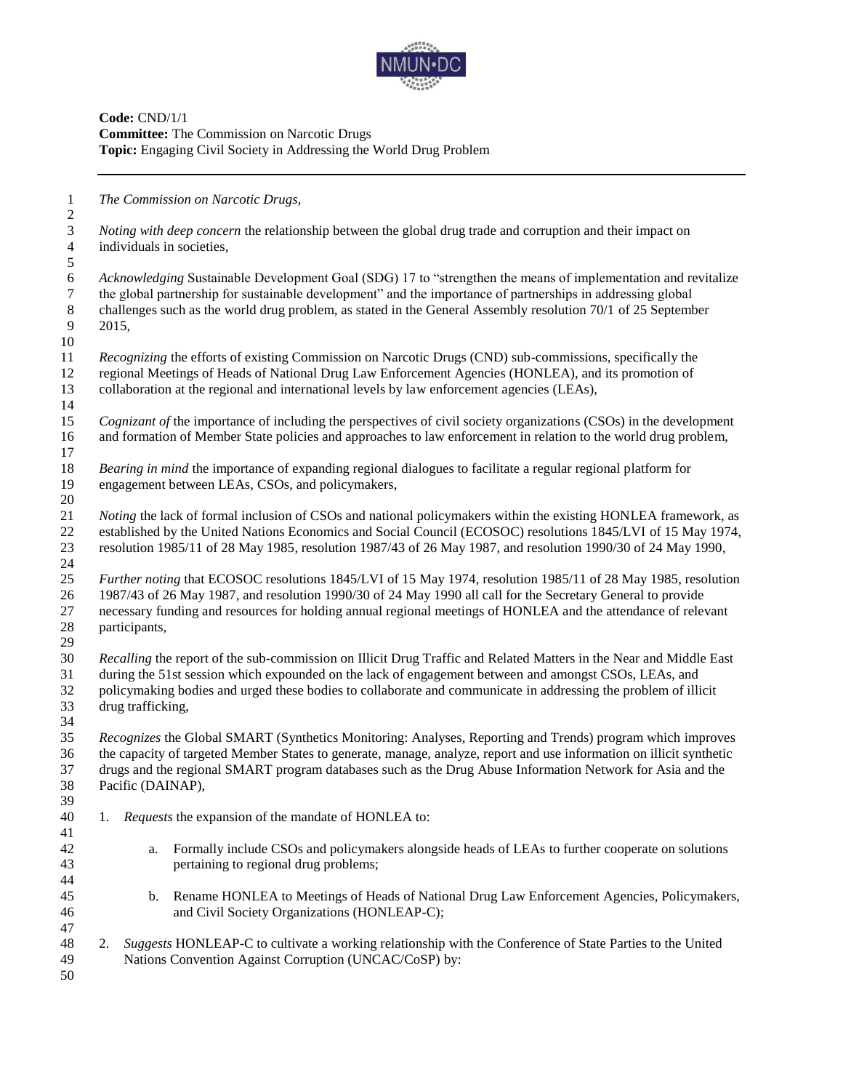

**Code:** CND/1/1 **Committee:** The Commission on Narcotic Drugs **Topic:** Engaging Civil Society in Addressing the World Drug Problem

*The Commission on Narcotic Drugs,*

 *Noting with deep concern* the relationship between the global drug trade and corruption and their impact on individuals in societies,

 6 *Acknowledging* Sustainable Development Goal (SDG) 17 to "strengthen the means of implementation and revitalize the global partnership for sustainable development" and the importance of partnerships in addressing global the global partnership for sustainable development" and the importance of partnerships in addressing global 8 challenges such as the world drug problem, as stated in the General Assembly resolution 70/1 of 25 September 2015, 2015,

- *Recognizing* the efforts of existing Commission on Narcotic Drugs (CND) sub-commissions, specifically the regional Meetings of Heads of National Drug Law Enforcement Agencies (HONLEA), and its promotion of collaboration at the regional and international levels by law enforcement agencies (LEAs),
- *Cognizant of* the importance of including the perspectives of civil society organizations (CSOs) in the development and formation of Member State policies and approaches to law enforcement in relation to the world drug problem,
- *Bearing in mind* the importance of expanding regional dialogues to facilitate a regular regional platform for engagement between LEAs, CSOs, and policymakers,
- *Noting* the lack of formal inclusion of CSOs and national policymakers within the existing HONLEA framework, as established by the United Nations Economics and Social Council (ECOSOC) resolutions 1845/LVI of 15 May 1974, resolution 1985/11 of 28 May 1985, resolution 1987/43 of 26 May 1987, and resolution 1990/30 of 24 May 1990,
- *Further noting* that ECOSOC resolutions 1845/LVI of 15 May 1974, resolution 1985/11 of 28 May 1985, resolution 1987/43 of 26 May 1987, and resolution 1990/30 of 24 May 1990 all call for the Secretary General to provide necessary funding and resources for holding annual regional meetings of HONLEA and the attendance of relevant participants,
- *Recalling* the report of the sub-commission on Illicit Drug Traffic and Related Matters in the Near and Middle East during the 51st session which expounded on the lack of engagement between and amongst CSOs, LEAs, and policymaking bodies and urged these bodies to collaborate and communicate in addressing the problem of illicit drug trafficking,
- *Recognizes* the Global SMART (Synthetics Monitoring: Analyses, Reporting and Trends) program which improves the capacity of targeted Member States to generate, manage, analyze, report and use information on illicit synthetic drugs and the regional SMART program databases such as the Drug Abuse Information Network for Asia and the Pacific (DAINAP),
- 1. *Requests* the expansion of the mandate of HONLEA to:
- a. Formally include CSOs and policymakers alongside heads of LEAs to further cooperate on solutions pertaining to regional drug problems;
- b. Rename HONLEA to Meetings of Heads of National Drug Law Enforcement Agencies, Policymakers, and Civil Society Organizations (HONLEAP-C);
- 2. *Suggests* HONLEAP-C to cultivate a working relationship with the Conference of State Parties to the United Nations Convention Against Corruption (UNCAC/CoSP) by:
-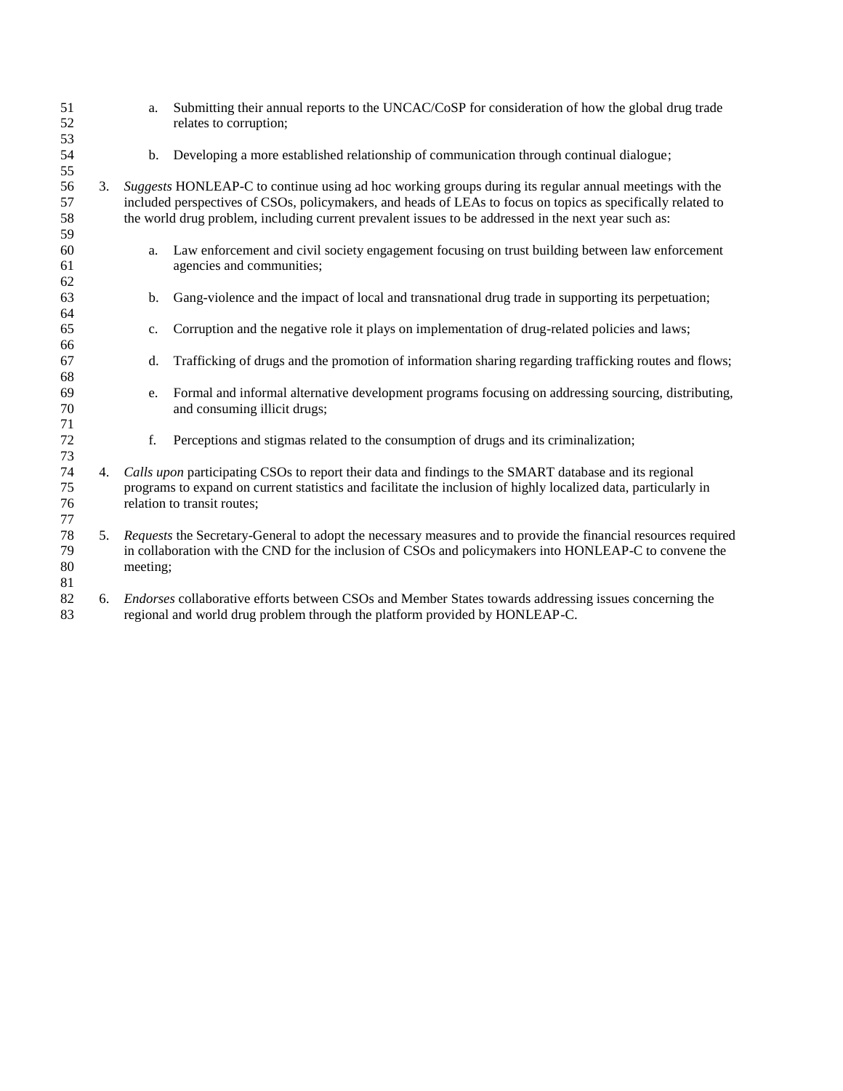| 51<br>52<br>53       |    | a.                                                                                                                                                                                                                                                       | Submitting their annual reports to the UNCAC/CoSP for consideration of how the global drug trade<br>relates to corruption;                                                                                                                                                                                                     |
|----------------------|----|----------------------------------------------------------------------------------------------------------------------------------------------------------------------------------------------------------------------------------------------------------|--------------------------------------------------------------------------------------------------------------------------------------------------------------------------------------------------------------------------------------------------------------------------------------------------------------------------------|
| 54<br>55             |    | b.                                                                                                                                                                                                                                                       | Developing a more established relationship of communication through continual dialogue;                                                                                                                                                                                                                                        |
| 56<br>57<br>58       | 3. |                                                                                                                                                                                                                                                          | Suggests HONLEAP-C to continue using ad hoc working groups during its regular annual meetings with the<br>included perspectives of CSOs, policymakers, and heads of LEAs to focus on topics as specifically related to<br>the world drug problem, including current prevalent issues to be addressed in the next year such as: |
| 59<br>60<br>61       |    | a.                                                                                                                                                                                                                                                       | Law enforcement and civil society engagement focusing on trust building between law enforcement<br>agencies and communities;                                                                                                                                                                                                   |
| 62<br>63<br>64       |    | b.                                                                                                                                                                                                                                                       | Gang-violence and the impact of local and transnational drug trade in supporting its perpetuation;                                                                                                                                                                                                                             |
| 65<br>66             |    | c.                                                                                                                                                                                                                                                       | Corruption and the negative role it plays on implementation of drug-related policies and laws;                                                                                                                                                                                                                                 |
| 67<br>68             |    | d.                                                                                                                                                                                                                                                       | Trafficking of drugs and the promotion of information sharing regarding trafficking routes and flows;                                                                                                                                                                                                                          |
| 69<br>70<br>71       |    | e.                                                                                                                                                                                                                                                       | Formal and informal alternative development programs focusing on addressing sourcing, distributing,<br>and consuming illicit drugs;                                                                                                                                                                                            |
| 72<br>73             |    | f.                                                                                                                                                                                                                                                       | Perceptions and stigmas related to the consumption of drugs and its criminalization;                                                                                                                                                                                                                                           |
| 74<br>75<br>76<br>77 | 4. | Calls upon participating CSOs to report their data and findings to the SMART database and its regional<br>programs to expand on current statistics and facilitate the inclusion of highly localized data, particularly in<br>relation to transit routes; |                                                                                                                                                                                                                                                                                                                                |
| 78<br>79<br>80<br>81 | 5. | Requests the Secretary-General to adopt the necessary measures and to provide the financial resources required<br>in collaboration with the CND for the inclusion of CSOs and policymakers into HONLEAP-C to convene the<br>meeting;                     |                                                                                                                                                                                                                                                                                                                                |
| 82<br>83             | 6. | <i>Endorses</i> collaborative efforts between CSOs and Member States towards addressing issues concerning the<br>regional and world drug problem through the platform provided by HONLEAP-C.                                                             |                                                                                                                                                                                                                                                                                                                                |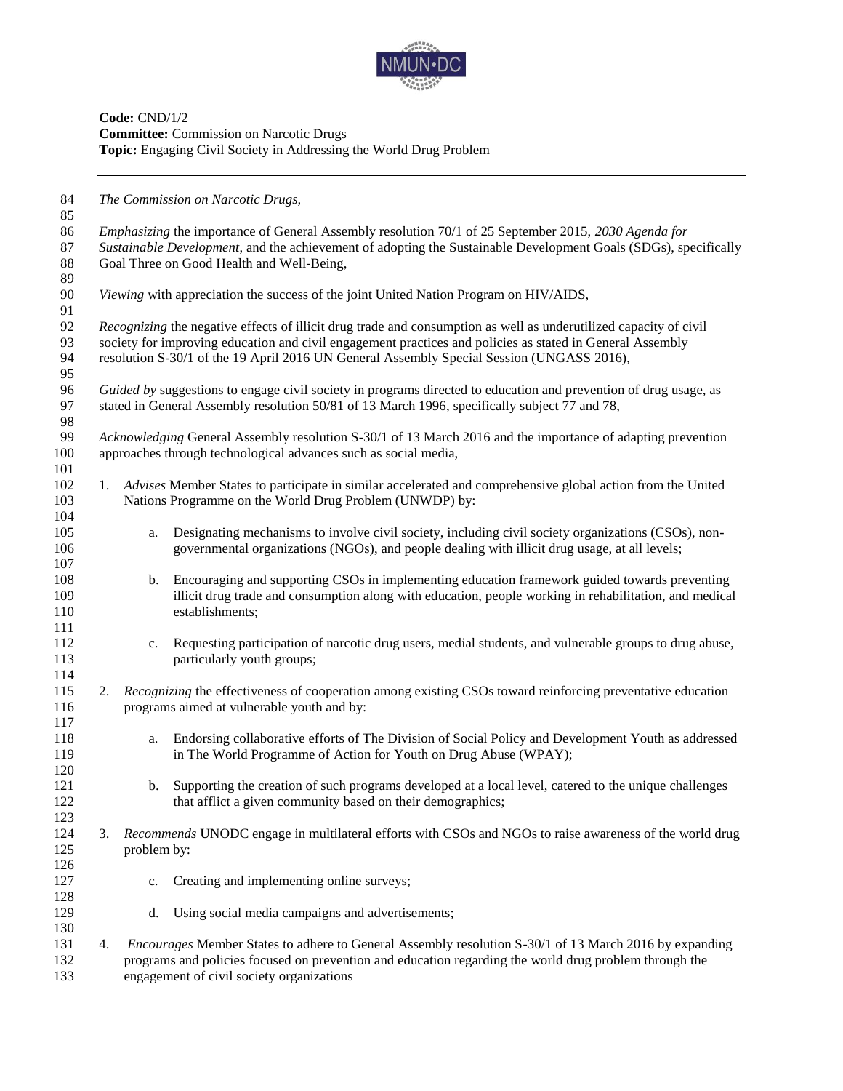

**Code:** CND/1/2 **Committee:** Commission on Narcotic Drugs **Topic:** Engaging Civil Society in Addressing the World Drug Problem

| <i>Emphasizing</i> the importance of General Assembly resolution 70/1 of 25 September 2015, 2030 Agenda for<br>86<br>87<br>Sustainable Development, and the achievement of adopting the Sustainable Development Goals (SDGs), specifically<br>88<br>Goal Three on Good Health and Well-Being,<br>89<br>90<br>Viewing with appreciation the success of the joint United Nation Program on HIV/AIDS,<br>91<br>92<br>Recognizing the negative effects of illicit drug trade and consumption as well as underutilized capacity of civil<br>93<br>society for improving education and civil engagement practices and policies as stated in General Assembly<br>94<br>resolution S-30/1 of the 19 April 2016 UN General Assembly Special Session (UNGASS 2016),<br>95<br>96<br>Guided by suggestions to engage civil society in programs directed to education and prevention of drug usage, as<br>97<br>stated in General Assembly resolution 50/81 of 13 March 1996, specifically subject 77 and 78,<br>98<br>99<br>Acknowledging General Assembly resolution S-30/1 of 13 March 2016 and the importance of adapting prevention<br>approaches through technological advances such as social media,<br>Advises Member States to participate in similar accelerated and comprehensive global action from the United<br>1.<br>Nations Programme on the World Drug Problem (UNWDP) by:<br>Designating mechanisms to involve civil society, including civil society organizations (CSOs), non-<br>105<br>a.<br>governmental organizations (NGOs), and people dealing with illicit drug usage, at all levels;<br>106<br>107<br>Encouraging and supporting CSOs in implementing education framework guided towards preventing<br>108<br>b.<br>illicit drug trade and consumption along with education, people working in rehabilitation, and medical<br>109<br>establishments;<br>110<br>111<br>Requesting participation of narcotic drug users, medial students, and vulnerable groups to drug abuse,<br>112<br>c.<br>113<br>particularly youth groups;<br>114<br>115<br>Recognizing the effectiveness of cooperation among existing CSOs toward reinforcing preventative education<br>2.<br>programs aimed at vulnerable youth and by:<br>116<br>117<br>Endorsing collaborative efforts of The Division of Social Policy and Development Youth as addressed<br>118<br>a.<br>in The World Programme of Action for Youth on Drug Abuse (WPAY);<br>119<br>120<br>Supporting the creation of such programs developed at a local level, catered to the unique challenges<br>121<br>b.<br>122<br>that afflict a given community based on their demographics;<br>123<br>124<br>Recommends UNODC engage in multilateral efforts with CSOs and NGOs to raise awareness of the world drug<br>3.<br>125<br>problem by:<br>Creating and implementing online surveys;<br>c.<br>Using social media campaigns and advertisements;<br>d.<br><i>Encourages</i> Member States to adhere to General Assembly resolution S-30/1 of 13 March 2016 by expanding<br>4.<br>programs and policies focused on prevention and education regarding the world drug problem through the<br>engagement of civil society organizations | 84<br>85 | The Commission on Narcotic Drugs, |  |  |  |
|-----------------------------------------------------------------------------------------------------------------------------------------------------------------------------------------------------------------------------------------------------------------------------------------------------------------------------------------------------------------------------------------------------------------------------------------------------------------------------------------------------------------------------------------------------------------------------------------------------------------------------------------------------------------------------------------------------------------------------------------------------------------------------------------------------------------------------------------------------------------------------------------------------------------------------------------------------------------------------------------------------------------------------------------------------------------------------------------------------------------------------------------------------------------------------------------------------------------------------------------------------------------------------------------------------------------------------------------------------------------------------------------------------------------------------------------------------------------------------------------------------------------------------------------------------------------------------------------------------------------------------------------------------------------------------------------------------------------------------------------------------------------------------------------------------------------------------------------------------------------------------------------------------------------------------------------------------------------------------------------------------------------------------------------------------------------------------------------------------------------------------------------------------------------------------------------------------------------------------------------------------------------------------------------------------------------------------------------------------------------------------------------------------------------------------------------------------------------------------------------------------------------------------------------------------------------------------------------------------------------------------------------------------------------------------------------------------------------------------------------------------------------------------------------------------------------------------------------------------------------------------------------------------------------------------------------------------------------------------------------------------------------------------------------------------------------------------------------------------------------------------------------------------------------------------------------------|----------|-----------------------------------|--|--|--|
|                                                                                                                                                                                                                                                                                                                                                                                                                                                                                                                                                                                                                                                                                                                                                                                                                                                                                                                                                                                                                                                                                                                                                                                                                                                                                                                                                                                                                                                                                                                                                                                                                                                                                                                                                                                                                                                                                                                                                                                                                                                                                                                                                                                                                                                                                                                                                                                                                                                                                                                                                                                                                                                                                                                                                                                                                                                                                                                                                                                                                                                                                                                                                                                               |          |                                   |  |  |  |
|                                                                                                                                                                                                                                                                                                                                                                                                                                                                                                                                                                                                                                                                                                                                                                                                                                                                                                                                                                                                                                                                                                                                                                                                                                                                                                                                                                                                                                                                                                                                                                                                                                                                                                                                                                                                                                                                                                                                                                                                                                                                                                                                                                                                                                                                                                                                                                                                                                                                                                                                                                                                                                                                                                                                                                                                                                                                                                                                                                                                                                                                                                                                                                                               |          |                                   |  |  |  |
|                                                                                                                                                                                                                                                                                                                                                                                                                                                                                                                                                                                                                                                                                                                                                                                                                                                                                                                                                                                                                                                                                                                                                                                                                                                                                                                                                                                                                                                                                                                                                                                                                                                                                                                                                                                                                                                                                                                                                                                                                                                                                                                                                                                                                                                                                                                                                                                                                                                                                                                                                                                                                                                                                                                                                                                                                                                                                                                                                                                                                                                                                                                                                                                               |          |                                   |  |  |  |
|                                                                                                                                                                                                                                                                                                                                                                                                                                                                                                                                                                                                                                                                                                                                                                                                                                                                                                                                                                                                                                                                                                                                                                                                                                                                                                                                                                                                                                                                                                                                                                                                                                                                                                                                                                                                                                                                                                                                                                                                                                                                                                                                                                                                                                                                                                                                                                                                                                                                                                                                                                                                                                                                                                                                                                                                                                                                                                                                                                                                                                                                                                                                                                                               |          |                                   |  |  |  |
|                                                                                                                                                                                                                                                                                                                                                                                                                                                                                                                                                                                                                                                                                                                                                                                                                                                                                                                                                                                                                                                                                                                                                                                                                                                                                                                                                                                                                                                                                                                                                                                                                                                                                                                                                                                                                                                                                                                                                                                                                                                                                                                                                                                                                                                                                                                                                                                                                                                                                                                                                                                                                                                                                                                                                                                                                                                                                                                                                                                                                                                                                                                                                                                               |          |                                   |  |  |  |
|                                                                                                                                                                                                                                                                                                                                                                                                                                                                                                                                                                                                                                                                                                                                                                                                                                                                                                                                                                                                                                                                                                                                                                                                                                                                                                                                                                                                                                                                                                                                                                                                                                                                                                                                                                                                                                                                                                                                                                                                                                                                                                                                                                                                                                                                                                                                                                                                                                                                                                                                                                                                                                                                                                                                                                                                                                                                                                                                                                                                                                                                                                                                                                                               |          |                                   |  |  |  |
|                                                                                                                                                                                                                                                                                                                                                                                                                                                                                                                                                                                                                                                                                                                                                                                                                                                                                                                                                                                                                                                                                                                                                                                                                                                                                                                                                                                                                                                                                                                                                                                                                                                                                                                                                                                                                                                                                                                                                                                                                                                                                                                                                                                                                                                                                                                                                                                                                                                                                                                                                                                                                                                                                                                                                                                                                                                                                                                                                                                                                                                                                                                                                                                               |          |                                   |  |  |  |
|                                                                                                                                                                                                                                                                                                                                                                                                                                                                                                                                                                                                                                                                                                                                                                                                                                                                                                                                                                                                                                                                                                                                                                                                                                                                                                                                                                                                                                                                                                                                                                                                                                                                                                                                                                                                                                                                                                                                                                                                                                                                                                                                                                                                                                                                                                                                                                                                                                                                                                                                                                                                                                                                                                                                                                                                                                                                                                                                                                                                                                                                                                                                                                                               |          |                                   |  |  |  |
|                                                                                                                                                                                                                                                                                                                                                                                                                                                                                                                                                                                                                                                                                                                                                                                                                                                                                                                                                                                                                                                                                                                                                                                                                                                                                                                                                                                                                                                                                                                                                                                                                                                                                                                                                                                                                                                                                                                                                                                                                                                                                                                                                                                                                                                                                                                                                                                                                                                                                                                                                                                                                                                                                                                                                                                                                                                                                                                                                                                                                                                                                                                                                                                               |          |                                   |  |  |  |
|                                                                                                                                                                                                                                                                                                                                                                                                                                                                                                                                                                                                                                                                                                                                                                                                                                                                                                                                                                                                                                                                                                                                                                                                                                                                                                                                                                                                                                                                                                                                                                                                                                                                                                                                                                                                                                                                                                                                                                                                                                                                                                                                                                                                                                                                                                                                                                                                                                                                                                                                                                                                                                                                                                                                                                                                                                                                                                                                                                                                                                                                                                                                                                                               |          |                                   |  |  |  |
|                                                                                                                                                                                                                                                                                                                                                                                                                                                                                                                                                                                                                                                                                                                                                                                                                                                                                                                                                                                                                                                                                                                                                                                                                                                                                                                                                                                                                                                                                                                                                                                                                                                                                                                                                                                                                                                                                                                                                                                                                                                                                                                                                                                                                                                                                                                                                                                                                                                                                                                                                                                                                                                                                                                                                                                                                                                                                                                                                                                                                                                                                                                                                                                               |          |                                   |  |  |  |
|                                                                                                                                                                                                                                                                                                                                                                                                                                                                                                                                                                                                                                                                                                                                                                                                                                                                                                                                                                                                                                                                                                                                                                                                                                                                                                                                                                                                                                                                                                                                                                                                                                                                                                                                                                                                                                                                                                                                                                                                                                                                                                                                                                                                                                                                                                                                                                                                                                                                                                                                                                                                                                                                                                                                                                                                                                                                                                                                                                                                                                                                                                                                                                                               |          |                                   |  |  |  |
|                                                                                                                                                                                                                                                                                                                                                                                                                                                                                                                                                                                                                                                                                                                                                                                                                                                                                                                                                                                                                                                                                                                                                                                                                                                                                                                                                                                                                                                                                                                                                                                                                                                                                                                                                                                                                                                                                                                                                                                                                                                                                                                                                                                                                                                                                                                                                                                                                                                                                                                                                                                                                                                                                                                                                                                                                                                                                                                                                                                                                                                                                                                                                                                               |          |                                   |  |  |  |
|                                                                                                                                                                                                                                                                                                                                                                                                                                                                                                                                                                                                                                                                                                                                                                                                                                                                                                                                                                                                                                                                                                                                                                                                                                                                                                                                                                                                                                                                                                                                                                                                                                                                                                                                                                                                                                                                                                                                                                                                                                                                                                                                                                                                                                                                                                                                                                                                                                                                                                                                                                                                                                                                                                                                                                                                                                                                                                                                                                                                                                                                                                                                                                                               |          |                                   |  |  |  |
|                                                                                                                                                                                                                                                                                                                                                                                                                                                                                                                                                                                                                                                                                                                                                                                                                                                                                                                                                                                                                                                                                                                                                                                                                                                                                                                                                                                                                                                                                                                                                                                                                                                                                                                                                                                                                                                                                                                                                                                                                                                                                                                                                                                                                                                                                                                                                                                                                                                                                                                                                                                                                                                                                                                                                                                                                                                                                                                                                                                                                                                                                                                                                                                               |          |                                   |  |  |  |
|                                                                                                                                                                                                                                                                                                                                                                                                                                                                                                                                                                                                                                                                                                                                                                                                                                                                                                                                                                                                                                                                                                                                                                                                                                                                                                                                                                                                                                                                                                                                                                                                                                                                                                                                                                                                                                                                                                                                                                                                                                                                                                                                                                                                                                                                                                                                                                                                                                                                                                                                                                                                                                                                                                                                                                                                                                                                                                                                                                                                                                                                                                                                                                                               | 100      |                                   |  |  |  |
|                                                                                                                                                                                                                                                                                                                                                                                                                                                                                                                                                                                                                                                                                                                                                                                                                                                                                                                                                                                                                                                                                                                                                                                                                                                                                                                                                                                                                                                                                                                                                                                                                                                                                                                                                                                                                                                                                                                                                                                                                                                                                                                                                                                                                                                                                                                                                                                                                                                                                                                                                                                                                                                                                                                                                                                                                                                                                                                                                                                                                                                                                                                                                                                               | 101      |                                   |  |  |  |
|                                                                                                                                                                                                                                                                                                                                                                                                                                                                                                                                                                                                                                                                                                                                                                                                                                                                                                                                                                                                                                                                                                                                                                                                                                                                                                                                                                                                                                                                                                                                                                                                                                                                                                                                                                                                                                                                                                                                                                                                                                                                                                                                                                                                                                                                                                                                                                                                                                                                                                                                                                                                                                                                                                                                                                                                                                                                                                                                                                                                                                                                                                                                                                                               | 102      |                                   |  |  |  |
|                                                                                                                                                                                                                                                                                                                                                                                                                                                                                                                                                                                                                                                                                                                                                                                                                                                                                                                                                                                                                                                                                                                                                                                                                                                                                                                                                                                                                                                                                                                                                                                                                                                                                                                                                                                                                                                                                                                                                                                                                                                                                                                                                                                                                                                                                                                                                                                                                                                                                                                                                                                                                                                                                                                                                                                                                                                                                                                                                                                                                                                                                                                                                                                               | 103      |                                   |  |  |  |
|                                                                                                                                                                                                                                                                                                                                                                                                                                                                                                                                                                                                                                                                                                                                                                                                                                                                                                                                                                                                                                                                                                                                                                                                                                                                                                                                                                                                                                                                                                                                                                                                                                                                                                                                                                                                                                                                                                                                                                                                                                                                                                                                                                                                                                                                                                                                                                                                                                                                                                                                                                                                                                                                                                                                                                                                                                                                                                                                                                                                                                                                                                                                                                                               | 104      |                                   |  |  |  |
|                                                                                                                                                                                                                                                                                                                                                                                                                                                                                                                                                                                                                                                                                                                                                                                                                                                                                                                                                                                                                                                                                                                                                                                                                                                                                                                                                                                                                                                                                                                                                                                                                                                                                                                                                                                                                                                                                                                                                                                                                                                                                                                                                                                                                                                                                                                                                                                                                                                                                                                                                                                                                                                                                                                                                                                                                                                                                                                                                                                                                                                                                                                                                                                               |          |                                   |  |  |  |
|                                                                                                                                                                                                                                                                                                                                                                                                                                                                                                                                                                                                                                                                                                                                                                                                                                                                                                                                                                                                                                                                                                                                                                                                                                                                                                                                                                                                                                                                                                                                                                                                                                                                                                                                                                                                                                                                                                                                                                                                                                                                                                                                                                                                                                                                                                                                                                                                                                                                                                                                                                                                                                                                                                                                                                                                                                                                                                                                                                                                                                                                                                                                                                                               |          |                                   |  |  |  |
|                                                                                                                                                                                                                                                                                                                                                                                                                                                                                                                                                                                                                                                                                                                                                                                                                                                                                                                                                                                                                                                                                                                                                                                                                                                                                                                                                                                                                                                                                                                                                                                                                                                                                                                                                                                                                                                                                                                                                                                                                                                                                                                                                                                                                                                                                                                                                                                                                                                                                                                                                                                                                                                                                                                                                                                                                                                                                                                                                                                                                                                                                                                                                                                               |          |                                   |  |  |  |
|                                                                                                                                                                                                                                                                                                                                                                                                                                                                                                                                                                                                                                                                                                                                                                                                                                                                                                                                                                                                                                                                                                                                                                                                                                                                                                                                                                                                                                                                                                                                                                                                                                                                                                                                                                                                                                                                                                                                                                                                                                                                                                                                                                                                                                                                                                                                                                                                                                                                                                                                                                                                                                                                                                                                                                                                                                                                                                                                                                                                                                                                                                                                                                                               |          |                                   |  |  |  |
|                                                                                                                                                                                                                                                                                                                                                                                                                                                                                                                                                                                                                                                                                                                                                                                                                                                                                                                                                                                                                                                                                                                                                                                                                                                                                                                                                                                                                                                                                                                                                                                                                                                                                                                                                                                                                                                                                                                                                                                                                                                                                                                                                                                                                                                                                                                                                                                                                                                                                                                                                                                                                                                                                                                                                                                                                                                                                                                                                                                                                                                                                                                                                                                               |          |                                   |  |  |  |
|                                                                                                                                                                                                                                                                                                                                                                                                                                                                                                                                                                                                                                                                                                                                                                                                                                                                                                                                                                                                                                                                                                                                                                                                                                                                                                                                                                                                                                                                                                                                                                                                                                                                                                                                                                                                                                                                                                                                                                                                                                                                                                                                                                                                                                                                                                                                                                                                                                                                                                                                                                                                                                                                                                                                                                                                                                                                                                                                                                                                                                                                                                                                                                                               |          |                                   |  |  |  |
|                                                                                                                                                                                                                                                                                                                                                                                                                                                                                                                                                                                                                                                                                                                                                                                                                                                                                                                                                                                                                                                                                                                                                                                                                                                                                                                                                                                                                                                                                                                                                                                                                                                                                                                                                                                                                                                                                                                                                                                                                                                                                                                                                                                                                                                                                                                                                                                                                                                                                                                                                                                                                                                                                                                                                                                                                                                                                                                                                                                                                                                                                                                                                                                               |          |                                   |  |  |  |
|                                                                                                                                                                                                                                                                                                                                                                                                                                                                                                                                                                                                                                                                                                                                                                                                                                                                                                                                                                                                                                                                                                                                                                                                                                                                                                                                                                                                                                                                                                                                                                                                                                                                                                                                                                                                                                                                                                                                                                                                                                                                                                                                                                                                                                                                                                                                                                                                                                                                                                                                                                                                                                                                                                                                                                                                                                                                                                                                                                                                                                                                                                                                                                                               |          |                                   |  |  |  |
|                                                                                                                                                                                                                                                                                                                                                                                                                                                                                                                                                                                                                                                                                                                                                                                                                                                                                                                                                                                                                                                                                                                                                                                                                                                                                                                                                                                                                                                                                                                                                                                                                                                                                                                                                                                                                                                                                                                                                                                                                                                                                                                                                                                                                                                                                                                                                                                                                                                                                                                                                                                                                                                                                                                                                                                                                                                                                                                                                                                                                                                                                                                                                                                               |          |                                   |  |  |  |
|                                                                                                                                                                                                                                                                                                                                                                                                                                                                                                                                                                                                                                                                                                                                                                                                                                                                                                                                                                                                                                                                                                                                                                                                                                                                                                                                                                                                                                                                                                                                                                                                                                                                                                                                                                                                                                                                                                                                                                                                                                                                                                                                                                                                                                                                                                                                                                                                                                                                                                                                                                                                                                                                                                                                                                                                                                                                                                                                                                                                                                                                                                                                                                                               |          |                                   |  |  |  |
|                                                                                                                                                                                                                                                                                                                                                                                                                                                                                                                                                                                                                                                                                                                                                                                                                                                                                                                                                                                                                                                                                                                                                                                                                                                                                                                                                                                                                                                                                                                                                                                                                                                                                                                                                                                                                                                                                                                                                                                                                                                                                                                                                                                                                                                                                                                                                                                                                                                                                                                                                                                                                                                                                                                                                                                                                                                                                                                                                                                                                                                                                                                                                                                               |          |                                   |  |  |  |
|                                                                                                                                                                                                                                                                                                                                                                                                                                                                                                                                                                                                                                                                                                                                                                                                                                                                                                                                                                                                                                                                                                                                                                                                                                                                                                                                                                                                                                                                                                                                                                                                                                                                                                                                                                                                                                                                                                                                                                                                                                                                                                                                                                                                                                                                                                                                                                                                                                                                                                                                                                                                                                                                                                                                                                                                                                                                                                                                                                                                                                                                                                                                                                                               |          |                                   |  |  |  |
|                                                                                                                                                                                                                                                                                                                                                                                                                                                                                                                                                                                                                                                                                                                                                                                                                                                                                                                                                                                                                                                                                                                                                                                                                                                                                                                                                                                                                                                                                                                                                                                                                                                                                                                                                                                                                                                                                                                                                                                                                                                                                                                                                                                                                                                                                                                                                                                                                                                                                                                                                                                                                                                                                                                                                                                                                                                                                                                                                                                                                                                                                                                                                                                               |          |                                   |  |  |  |
|                                                                                                                                                                                                                                                                                                                                                                                                                                                                                                                                                                                                                                                                                                                                                                                                                                                                                                                                                                                                                                                                                                                                                                                                                                                                                                                                                                                                                                                                                                                                                                                                                                                                                                                                                                                                                                                                                                                                                                                                                                                                                                                                                                                                                                                                                                                                                                                                                                                                                                                                                                                                                                                                                                                                                                                                                                                                                                                                                                                                                                                                                                                                                                                               |          |                                   |  |  |  |
|                                                                                                                                                                                                                                                                                                                                                                                                                                                                                                                                                                                                                                                                                                                                                                                                                                                                                                                                                                                                                                                                                                                                                                                                                                                                                                                                                                                                                                                                                                                                                                                                                                                                                                                                                                                                                                                                                                                                                                                                                                                                                                                                                                                                                                                                                                                                                                                                                                                                                                                                                                                                                                                                                                                                                                                                                                                                                                                                                                                                                                                                                                                                                                                               |          |                                   |  |  |  |
|                                                                                                                                                                                                                                                                                                                                                                                                                                                                                                                                                                                                                                                                                                                                                                                                                                                                                                                                                                                                                                                                                                                                                                                                                                                                                                                                                                                                                                                                                                                                                                                                                                                                                                                                                                                                                                                                                                                                                                                                                                                                                                                                                                                                                                                                                                                                                                                                                                                                                                                                                                                                                                                                                                                                                                                                                                                                                                                                                                                                                                                                                                                                                                                               |          |                                   |  |  |  |
|                                                                                                                                                                                                                                                                                                                                                                                                                                                                                                                                                                                                                                                                                                                                                                                                                                                                                                                                                                                                                                                                                                                                                                                                                                                                                                                                                                                                                                                                                                                                                                                                                                                                                                                                                                                                                                                                                                                                                                                                                                                                                                                                                                                                                                                                                                                                                                                                                                                                                                                                                                                                                                                                                                                                                                                                                                                                                                                                                                                                                                                                                                                                                                                               |          |                                   |  |  |  |
|                                                                                                                                                                                                                                                                                                                                                                                                                                                                                                                                                                                                                                                                                                                                                                                                                                                                                                                                                                                                                                                                                                                                                                                                                                                                                                                                                                                                                                                                                                                                                                                                                                                                                                                                                                                                                                                                                                                                                                                                                                                                                                                                                                                                                                                                                                                                                                                                                                                                                                                                                                                                                                                                                                                                                                                                                                                                                                                                                                                                                                                                                                                                                                                               |          |                                   |  |  |  |
|                                                                                                                                                                                                                                                                                                                                                                                                                                                                                                                                                                                                                                                                                                                                                                                                                                                                                                                                                                                                                                                                                                                                                                                                                                                                                                                                                                                                                                                                                                                                                                                                                                                                                                                                                                                                                                                                                                                                                                                                                                                                                                                                                                                                                                                                                                                                                                                                                                                                                                                                                                                                                                                                                                                                                                                                                                                                                                                                                                                                                                                                                                                                                                                               |          |                                   |  |  |  |
|                                                                                                                                                                                                                                                                                                                                                                                                                                                                                                                                                                                                                                                                                                                                                                                                                                                                                                                                                                                                                                                                                                                                                                                                                                                                                                                                                                                                                                                                                                                                                                                                                                                                                                                                                                                                                                                                                                                                                                                                                                                                                                                                                                                                                                                                                                                                                                                                                                                                                                                                                                                                                                                                                                                                                                                                                                                                                                                                                                                                                                                                                                                                                                                               |          |                                   |  |  |  |
|                                                                                                                                                                                                                                                                                                                                                                                                                                                                                                                                                                                                                                                                                                                                                                                                                                                                                                                                                                                                                                                                                                                                                                                                                                                                                                                                                                                                                                                                                                                                                                                                                                                                                                                                                                                                                                                                                                                                                                                                                                                                                                                                                                                                                                                                                                                                                                                                                                                                                                                                                                                                                                                                                                                                                                                                                                                                                                                                                                                                                                                                                                                                                                                               |          |                                   |  |  |  |
|                                                                                                                                                                                                                                                                                                                                                                                                                                                                                                                                                                                                                                                                                                                                                                                                                                                                                                                                                                                                                                                                                                                                                                                                                                                                                                                                                                                                                                                                                                                                                                                                                                                                                                                                                                                                                                                                                                                                                                                                                                                                                                                                                                                                                                                                                                                                                                                                                                                                                                                                                                                                                                                                                                                                                                                                                                                                                                                                                                                                                                                                                                                                                                                               |          |                                   |  |  |  |
|                                                                                                                                                                                                                                                                                                                                                                                                                                                                                                                                                                                                                                                                                                                                                                                                                                                                                                                                                                                                                                                                                                                                                                                                                                                                                                                                                                                                                                                                                                                                                                                                                                                                                                                                                                                                                                                                                                                                                                                                                                                                                                                                                                                                                                                                                                                                                                                                                                                                                                                                                                                                                                                                                                                                                                                                                                                                                                                                                                                                                                                                                                                                                                                               | 126      |                                   |  |  |  |
|                                                                                                                                                                                                                                                                                                                                                                                                                                                                                                                                                                                                                                                                                                                                                                                                                                                                                                                                                                                                                                                                                                                                                                                                                                                                                                                                                                                                                                                                                                                                                                                                                                                                                                                                                                                                                                                                                                                                                                                                                                                                                                                                                                                                                                                                                                                                                                                                                                                                                                                                                                                                                                                                                                                                                                                                                                                                                                                                                                                                                                                                                                                                                                                               | 127      |                                   |  |  |  |
|                                                                                                                                                                                                                                                                                                                                                                                                                                                                                                                                                                                                                                                                                                                                                                                                                                                                                                                                                                                                                                                                                                                                                                                                                                                                                                                                                                                                                                                                                                                                                                                                                                                                                                                                                                                                                                                                                                                                                                                                                                                                                                                                                                                                                                                                                                                                                                                                                                                                                                                                                                                                                                                                                                                                                                                                                                                                                                                                                                                                                                                                                                                                                                                               | 128      |                                   |  |  |  |
|                                                                                                                                                                                                                                                                                                                                                                                                                                                                                                                                                                                                                                                                                                                                                                                                                                                                                                                                                                                                                                                                                                                                                                                                                                                                                                                                                                                                                                                                                                                                                                                                                                                                                                                                                                                                                                                                                                                                                                                                                                                                                                                                                                                                                                                                                                                                                                                                                                                                                                                                                                                                                                                                                                                                                                                                                                                                                                                                                                                                                                                                                                                                                                                               | 129      |                                   |  |  |  |
|                                                                                                                                                                                                                                                                                                                                                                                                                                                                                                                                                                                                                                                                                                                                                                                                                                                                                                                                                                                                                                                                                                                                                                                                                                                                                                                                                                                                                                                                                                                                                                                                                                                                                                                                                                                                                                                                                                                                                                                                                                                                                                                                                                                                                                                                                                                                                                                                                                                                                                                                                                                                                                                                                                                                                                                                                                                                                                                                                                                                                                                                                                                                                                                               | 130      |                                   |  |  |  |
|                                                                                                                                                                                                                                                                                                                                                                                                                                                                                                                                                                                                                                                                                                                                                                                                                                                                                                                                                                                                                                                                                                                                                                                                                                                                                                                                                                                                                                                                                                                                                                                                                                                                                                                                                                                                                                                                                                                                                                                                                                                                                                                                                                                                                                                                                                                                                                                                                                                                                                                                                                                                                                                                                                                                                                                                                                                                                                                                                                                                                                                                                                                                                                                               | 131      |                                   |  |  |  |
|                                                                                                                                                                                                                                                                                                                                                                                                                                                                                                                                                                                                                                                                                                                                                                                                                                                                                                                                                                                                                                                                                                                                                                                                                                                                                                                                                                                                                                                                                                                                                                                                                                                                                                                                                                                                                                                                                                                                                                                                                                                                                                                                                                                                                                                                                                                                                                                                                                                                                                                                                                                                                                                                                                                                                                                                                                                                                                                                                                                                                                                                                                                                                                                               | 132      |                                   |  |  |  |
|                                                                                                                                                                                                                                                                                                                                                                                                                                                                                                                                                                                                                                                                                                                                                                                                                                                                                                                                                                                                                                                                                                                                                                                                                                                                                                                                                                                                                                                                                                                                                                                                                                                                                                                                                                                                                                                                                                                                                                                                                                                                                                                                                                                                                                                                                                                                                                                                                                                                                                                                                                                                                                                                                                                                                                                                                                                                                                                                                                                                                                                                                                                                                                                               | 133      |                                   |  |  |  |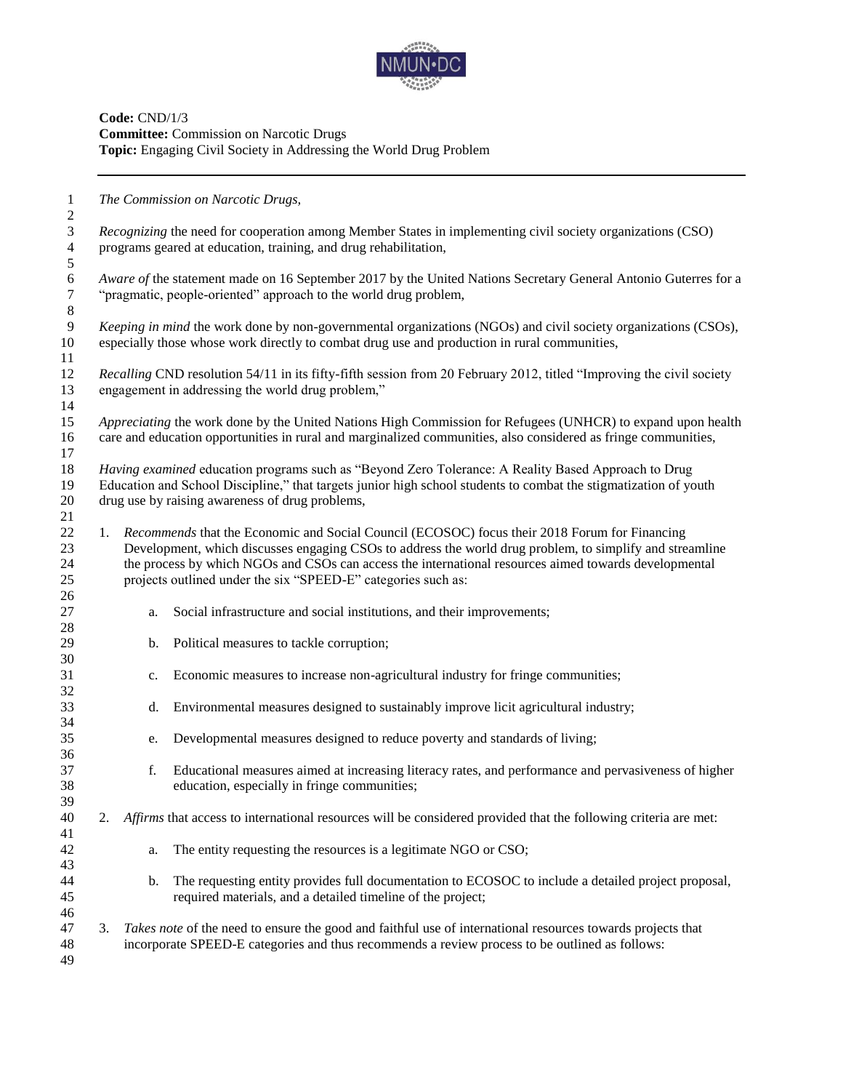

**Code:** CND/1/3 **Committee:** Commission on Narcotic Drugs **Topic:** Engaging Civil Society in Addressing the World Drug Problem

 *The Commission on Narcotic Drugs, Recognizing* the need for cooperation among Member States in implementing civil society organizations (CSO) programs geared at education, training, and drug rehabilitation, *Aware of* the statement made on 16 September 2017 by the United Nations Secretary General Antonio Guterres for a "pragmatic, people-oriented" approach to the world drug problem, "pragmatic, people-oriented" approach to the world drug problem, *Keeping in mind* the work done by non-governmental organizations (NGOs) and civil society organizations (CSOs), especially those whose work directly to combat drug use and production in rural communities, *Recalling* CND resolution 54/11 in its fifty-fifth session from 20 February 2012, titled "Improving the civil society engagement in addressing the world drug problem," *Appreciating* the work done by the United Nations High Commission for Refugees (UNHCR) to expand upon health care and education opportunities in rural and marginalized communities, also considered as fringe communities, *Having examined* education programs such as "Beyond Zero Tolerance: A Reality Based Approach to Drug Education and School Discipline," that targets junior high school students to combat the stigmatization of youth drug use by raising awareness of drug problems, 1. *Recommends* that the Economic and Social Council (ECOSOC) focus their 2018 Forum for Financing Development, which discusses engaging CSOs to address the world drug problem, to simplify and streamline the process by which NGOs and CSOs can access the international resources aimed towards developmental projects outlined under the six "SPEED-E" categories such as: a. Social infrastructure and social institutions, and their improvements; b. Political measures to tackle corruption; c. Economic measures to increase non-agricultural industry for fringe communities; d. Environmental measures designed to sustainably improve licit agricultural industry; e. Developmental measures designed to reduce poverty and standards of living; f. Educational measures aimed at increasing literacy rates, and performance and pervasiveness of higher education, especially in fringe communities; 2. *Affirms* that access to international resources will be considered provided that the following criteria are met: a. The entity requesting the resources is a legitimate NGO or CSO; b. The requesting entity provides full documentation to ECOSOC to include a detailed project proposal, required materials, and a detailed timeline of the project; 3. *Takes note* of the need to ensure the good and faithful use of international resources towards projects that incorporate SPEED-E categories and thus recommends a review process to be outlined as follows: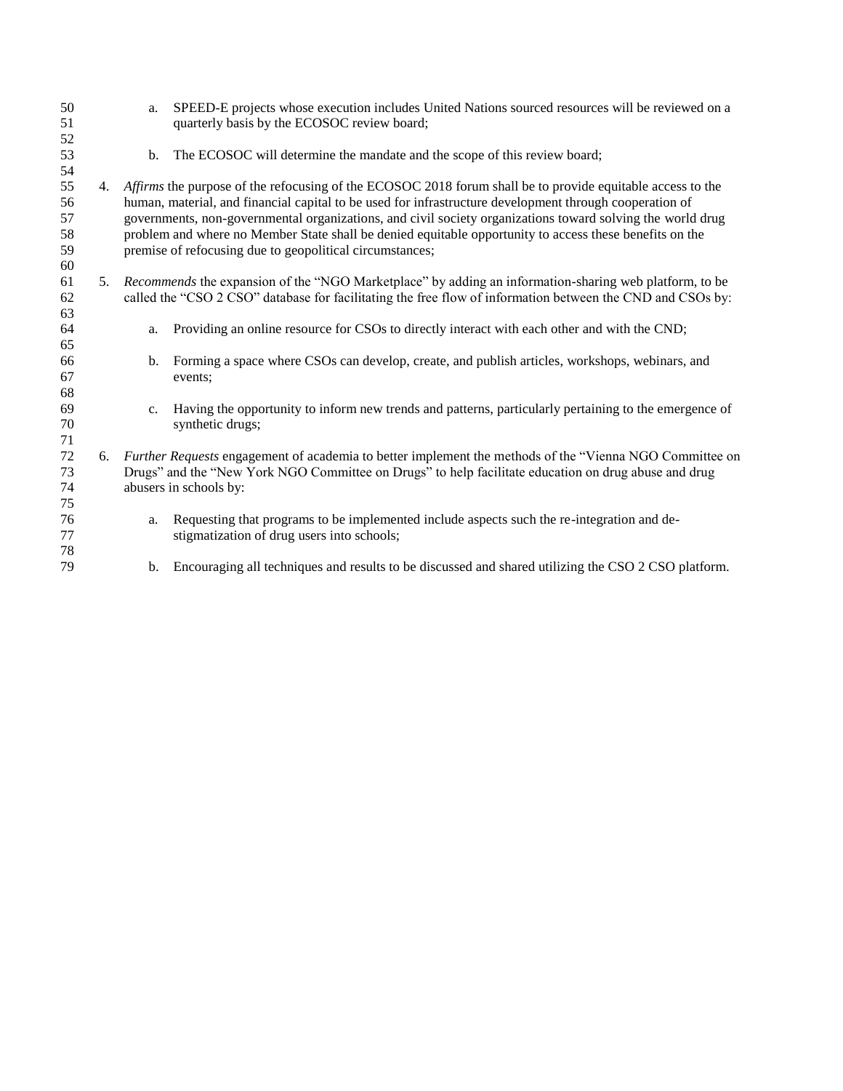| 50 |    | a.                                                                                                      | SPEED-E projects whose execution includes United Nations sourced resources will be reviewed on a              |  |
|----|----|---------------------------------------------------------------------------------------------------------|---------------------------------------------------------------------------------------------------------------|--|
| 51 |    |                                                                                                         | quarterly basis by the ECOSOC review board;                                                                   |  |
| 52 |    |                                                                                                         |                                                                                                               |  |
| 53 |    | b.                                                                                                      | The ECOSOC will determine the mandate and the scope of this review board;                                     |  |
| 54 |    |                                                                                                         |                                                                                                               |  |
| 55 |    |                                                                                                         | 4. Affirms the purpose of the refocusing of the ECOSOC 2018 forum shall be to provide equitable access to the |  |
| 56 |    | human, material, and financial capital to be used for infrastructure development through cooperation of |                                                                                                               |  |
| 57 |    |                                                                                                         | governments, non-governmental organizations, and civil society organizations toward solving the world drug    |  |
| 58 |    |                                                                                                         | problem and where no Member State shall be denied equitable opportunity to access these benefits on the       |  |
| 59 |    |                                                                                                         | premise of refocusing due to geopolitical circumstances;                                                      |  |
| 60 |    |                                                                                                         |                                                                                                               |  |
| 61 | 5. |                                                                                                         | <i>Recommends</i> the expansion of the "NGO Marketplace" by adding an information-sharing web platform, to be |  |
| 62 |    |                                                                                                         | called the "CSO 2 CSO" database for facilitating the free flow of information between the CND and CSOs by:    |  |
| 63 |    |                                                                                                         |                                                                                                               |  |
| 64 |    | a.                                                                                                      | Providing an online resource for CSOs to directly interact with each other and with the CND;                  |  |
| 65 |    |                                                                                                         |                                                                                                               |  |
| 66 |    | $\mathbf b$ .                                                                                           | Forming a space where CSOs can develop, create, and publish articles, workshops, webinars, and                |  |
| 67 |    |                                                                                                         | events;                                                                                                       |  |
| 68 |    |                                                                                                         |                                                                                                               |  |
| 69 |    | $C_{\bullet}$                                                                                           | Having the opportunity to inform new trends and patterns, particularly pertaining to the emergence of         |  |
| 70 |    |                                                                                                         | synthetic drugs;                                                                                              |  |
| 71 |    |                                                                                                         |                                                                                                               |  |
| 72 | 6. |                                                                                                         | Further Requests engagement of academia to better implement the methods of the "Vienna NGO Committee on       |  |
| 73 |    | Drugs" and the "New York NGO Committee on Drugs" to help facilitate education on drug abuse and drug    |                                                                                                               |  |
| 74 |    | abusers in schools by:                                                                                  |                                                                                                               |  |
| 75 |    |                                                                                                         |                                                                                                               |  |
| 76 |    | a.                                                                                                      | Requesting that programs to be implemented include aspects such the re-integration and de-                    |  |
| 77 |    |                                                                                                         | stigmatization of drug users into schools;                                                                    |  |
| 78 |    |                                                                                                         |                                                                                                               |  |
| 79 |    | b.                                                                                                      | Encouraging all techniques and results to be discussed and shared utilizing the CSO 2 CSO platform.           |  |
|    |    |                                                                                                         |                                                                                                               |  |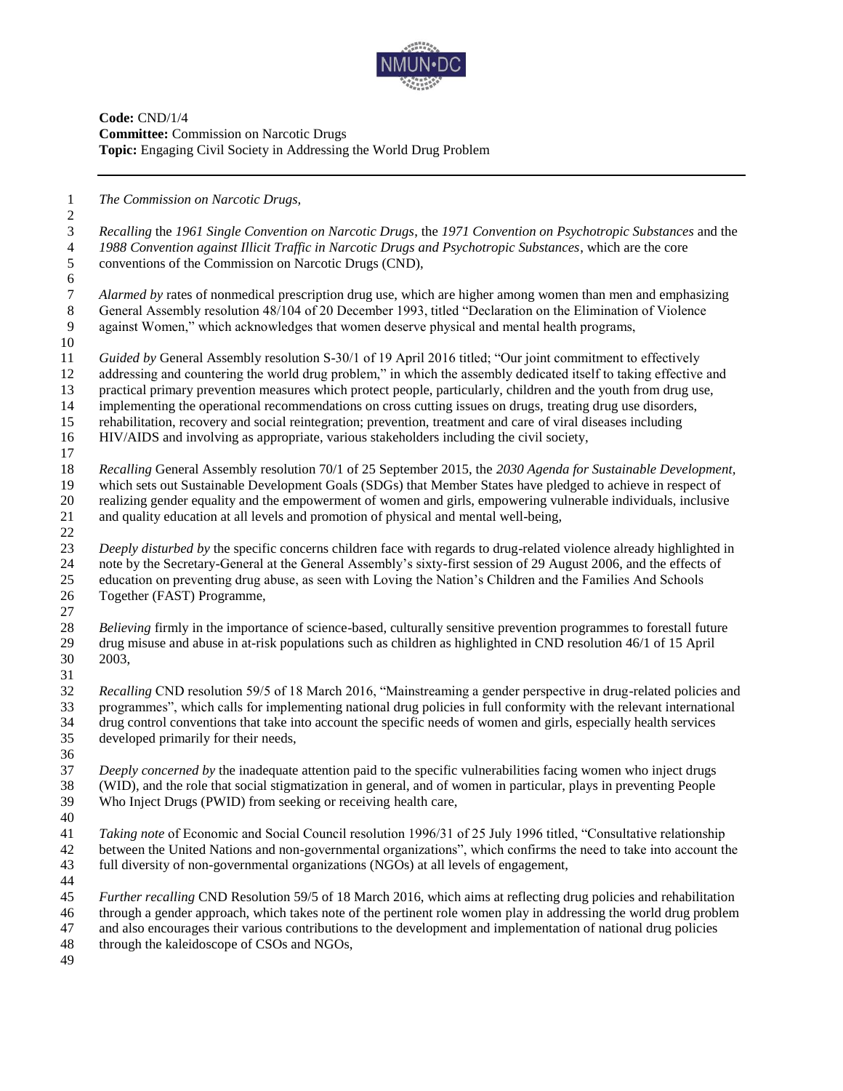

**Code:** CND/1/4 **Committee:** Commission on Narcotic Drugs **Topic:** Engaging Civil Society in Addressing the World Drug Problem

*The Commission on Narcotic Drugs,*

 *Recalling* the *1961 Single Convention on Narcotic Drugs*, the *1971 Convention on Psychotropic Substances* and the *1988 Convention against Illicit Traffic in Narcotic Drugs and Psychotropic Substances*, which are the core conventions of the Commission on Narcotic Drugs (CND), *Alarmed by* rates of nonmedical prescription drug use, which are higher among women than men and emphasizing General Assembly resolution 48/104 of 20 December 1993, titled "Declaration on the Elimination of Violence against Women," which acknowledges that women deserve physical and mental health programs, *Guided by* General Assembly resolution S-30/1 of 19 April 2016 titled; "Our joint commitment to effectively

- addressing and countering the world drug problem," in which the assembly dedicated itself to taking effective and
- practical primary prevention measures which protect people, particularly, children and the youth from drug use, implementing the operational recommendations on cross cutting issues on drugs, treating drug use disorders,
- rehabilitation, recovery and social reintegration; prevention, treatment and care of viral diseases including
- HIV/AIDS and involving as appropriate, various stakeholders including the civil society,
- *Recalling* General Assembly resolution 70/1 of 25 September 2015, the *2030 Agenda for Sustainable Development,* which sets out Sustainable Development Goals (SDGs) that Member States have pledged to achieve in respect of realizing gender equality and the empowerment of women and girls, empowering vulnerable individuals, inclusive and quality education at all levels and promotion of physical and mental well-being,
- *Deeply disturbed by* the specific concerns children face with regards to drug-related violence already highlighted in note by the Secretary-General at the General Assembly's sixty-first session of 29 August 2006, and the effects of education on preventing drug abuse, as seen with Loving the Nation's Children and the Families And Schools Together (FAST) Programme,
- 

 *Believing* firmly in the importance of science-based, culturally sensitive prevention programmes to forestall future drug misuse and abuse in at-risk populations such as children as highlighted in CND resolution 46/1 of 15 April 2003, 

 *Recalling* CND resolution 59/5 of 18 March 2016, "Mainstreaming a gender perspective in drug-related policies and programmes", which calls for implementing national drug policies in full conformity with the relevant international drug control conventions that take into account the specific needs of women and girls, especially health services developed primarily for their needs,

 *Deeply concerned by* the inadequate attention paid to the specific vulnerabilities facing women who inject drugs (WID), and the role that social stigmatization in general, and of women in particular, plays in preventing People Who Inject Drugs (PWID) from seeking or receiving health care,

 *Taking note* of Economic and Social Council resolution 1996/31 of 25 July 1996 titled, "Consultative relationship between the United Nations and non-governmental organizations", which confirms the need to take into account the full diversity of non-governmental organizations (NGOs) at all levels of engagement,

 *Further recalling* CND Resolution 59/5 of 18 March 2016, which aims at reflecting drug policies and rehabilitation through a gender approach, which takes note of the pertinent role women play in addressing the world drug problem

and also encourages their various contributions to the development and implementation of national drug policies

- through the kaleidoscope of CSOs and NGOs,
-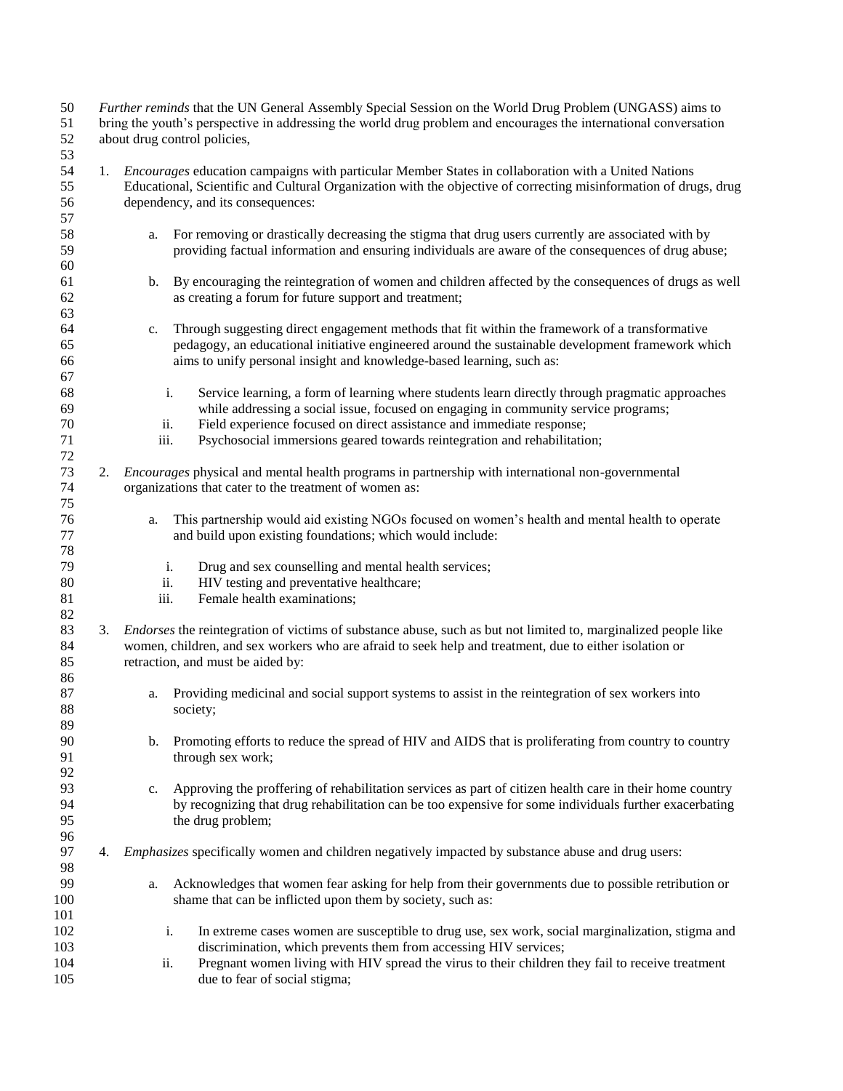| 50<br>51<br>52 |    | Further reminds that the UN General Assembly Special Session on the World Drug Problem (UNGASS) aims to<br>bring the youth's perspective in addressing the world drug problem and encourages the international conversation<br>about drug control policies, |                                                                                                                       |  |  |
|----------------|----|-------------------------------------------------------------------------------------------------------------------------------------------------------------------------------------------------------------------------------------------------------------|-----------------------------------------------------------------------------------------------------------------------|--|--|
| 53             |    |                                                                                                                                                                                                                                                             |                                                                                                                       |  |  |
| 54             | 1. |                                                                                                                                                                                                                                                             | <i>Encourages</i> education campaigns with particular Member States in collaboration with a United Nations            |  |  |
| 55             |    |                                                                                                                                                                                                                                                             | Educational, Scientific and Cultural Organization with the objective of correcting misinformation of drugs, drug      |  |  |
| 56             |    | dependency, and its consequences:                                                                                                                                                                                                                           |                                                                                                                       |  |  |
|                |    |                                                                                                                                                                                                                                                             |                                                                                                                       |  |  |
| 57             |    |                                                                                                                                                                                                                                                             |                                                                                                                       |  |  |
| 58             |    | a.                                                                                                                                                                                                                                                          | For removing or drastically decreasing the stigma that drug users currently are associated with by                    |  |  |
| 59             |    |                                                                                                                                                                                                                                                             | providing factual information and ensuring individuals are aware of the consequences of drug abuse;                   |  |  |
| 60             |    |                                                                                                                                                                                                                                                             |                                                                                                                       |  |  |
| 61             |    | b.                                                                                                                                                                                                                                                          | By encouraging the reintegration of women and children affected by the consequences of drugs as well                  |  |  |
| 62             |    |                                                                                                                                                                                                                                                             | as creating a forum for future support and treatment;                                                                 |  |  |
| 63             |    |                                                                                                                                                                                                                                                             |                                                                                                                       |  |  |
| 64             |    | c.                                                                                                                                                                                                                                                          | Through suggesting direct engagement methods that fit within the framework of a transformative                        |  |  |
| 65             |    |                                                                                                                                                                                                                                                             | pedagogy, an educational initiative engineered around the sustainable development framework which                     |  |  |
|                |    |                                                                                                                                                                                                                                                             |                                                                                                                       |  |  |
| 66             |    |                                                                                                                                                                                                                                                             | aims to unify personal insight and knowledge-based learning, such as:                                                 |  |  |
| 67             |    |                                                                                                                                                                                                                                                             |                                                                                                                       |  |  |
| 68             |    | i.                                                                                                                                                                                                                                                          | Service learning, a form of learning where students learn directly through pragmatic approaches                       |  |  |
| 69             |    |                                                                                                                                                                                                                                                             | while addressing a social issue, focused on engaging in community service programs;                                   |  |  |
| 70             |    | ii.                                                                                                                                                                                                                                                         | Field experience focused on direct assistance and immediate response;                                                 |  |  |
| 71             |    | iii.                                                                                                                                                                                                                                                        | Psychosocial immersions geared towards reintegration and rehabilitation;                                              |  |  |
| 72             |    |                                                                                                                                                                                                                                                             |                                                                                                                       |  |  |
| 73             | 2. |                                                                                                                                                                                                                                                             | Encourages physical and mental health programs in partnership with international non-governmental                     |  |  |
| 74             |    |                                                                                                                                                                                                                                                             | organizations that cater to the treatment of women as:                                                                |  |  |
| 75             |    |                                                                                                                                                                                                                                                             |                                                                                                                       |  |  |
|                |    |                                                                                                                                                                                                                                                             |                                                                                                                       |  |  |
| 76             |    | a.                                                                                                                                                                                                                                                          | This partnership would aid existing NGOs focused on women's health and mental health to operate                       |  |  |
| 77             |    |                                                                                                                                                                                                                                                             | and build upon existing foundations; which would include:                                                             |  |  |
| 78             |    |                                                                                                                                                                                                                                                             |                                                                                                                       |  |  |
| 79             |    | i.                                                                                                                                                                                                                                                          | Drug and sex counselling and mental health services;                                                                  |  |  |
| 80             |    | ii.                                                                                                                                                                                                                                                         | HIV testing and preventative healthcare;                                                                              |  |  |
| 81             |    | iii.                                                                                                                                                                                                                                                        | Female health examinations;                                                                                           |  |  |
| 82             |    |                                                                                                                                                                                                                                                             |                                                                                                                       |  |  |
| 83             | 3. |                                                                                                                                                                                                                                                             | <i>Endorses</i> the reintegration of victims of substance abuse, such as but not limited to, marginalized people like |  |  |
| 84             |    |                                                                                                                                                                                                                                                             | women, children, and sex workers who are afraid to seek help and treatment, due to either isolation or                |  |  |
| 85             |    | retraction, and must be aided by:                                                                                                                                                                                                                           |                                                                                                                       |  |  |
|                |    |                                                                                                                                                                                                                                                             |                                                                                                                       |  |  |
| 86             |    |                                                                                                                                                                                                                                                             |                                                                                                                       |  |  |
| 87             |    | a.                                                                                                                                                                                                                                                          | Providing medicinal and social support systems to assist in the reintegration of sex workers into                     |  |  |
| 88             |    |                                                                                                                                                                                                                                                             | society:                                                                                                              |  |  |
| 89             |    |                                                                                                                                                                                                                                                             |                                                                                                                       |  |  |
| 90             |    |                                                                                                                                                                                                                                                             | b. Promoting efforts to reduce the spread of HIV and AIDS that is proliferating from country to country               |  |  |
| 91             |    |                                                                                                                                                                                                                                                             | through sex work;                                                                                                     |  |  |
| 92             |    |                                                                                                                                                                                                                                                             |                                                                                                                       |  |  |
| 93             |    | c.                                                                                                                                                                                                                                                          | Approving the proffering of rehabilitation services as part of citizen health care in their home country              |  |  |
| 94             |    |                                                                                                                                                                                                                                                             | by recognizing that drug rehabilitation can be too expensive for some individuals further exacerbating                |  |  |
| 95             |    |                                                                                                                                                                                                                                                             | the drug problem;                                                                                                     |  |  |
| 96             |    |                                                                                                                                                                                                                                                             |                                                                                                                       |  |  |
|                |    |                                                                                                                                                                                                                                                             |                                                                                                                       |  |  |
| 97             | 4. |                                                                                                                                                                                                                                                             | <i>Emphasizes</i> specifically women and children negatively impacted by substance abuse and drug users:              |  |  |
| 98             |    |                                                                                                                                                                                                                                                             |                                                                                                                       |  |  |
| 99             |    | a.                                                                                                                                                                                                                                                          | Acknowledges that women fear asking for help from their governments due to possible retribution or                    |  |  |
| 100            |    |                                                                                                                                                                                                                                                             | shame that can be inflicted upon them by society, such as:                                                            |  |  |
| 101            |    |                                                                                                                                                                                                                                                             |                                                                                                                       |  |  |
| 102            |    | i.                                                                                                                                                                                                                                                          | In extreme cases women are susceptible to drug use, sex work, social marginalization, stigma and                      |  |  |
| 103            |    |                                                                                                                                                                                                                                                             | discrimination, which prevents them from accessing HIV services;                                                      |  |  |
| 104            |    | ii.                                                                                                                                                                                                                                                         | Pregnant women living with HIV spread the virus to their children they fail to receive treatment                      |  |  |
| 105            |    |                                                                                                                                                                                                                                                             | due to fear of social stigma;                                                                                         |  |  |
|                |    |                                                                                                                                                                                                                                                             |                                                                                                                       |  |  |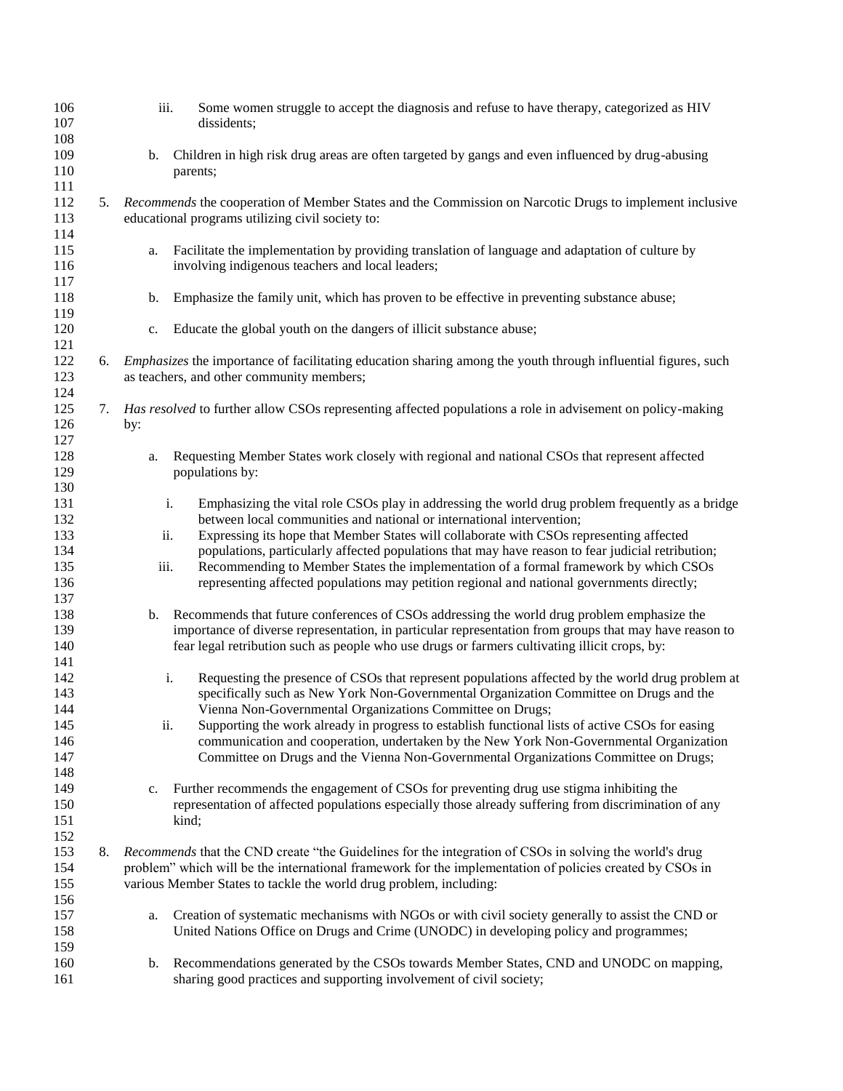| 106<br>107 |    | iii. | Some women struggle to accept the diagnosis and refuse to have therapy, categorized as HIV<br>dissidents;                                                                                  |
|------------|----|------|--------------------------------------------------------------------------------------------------------------------------------------------------------------------------------------------|
| 108<br>109 |    | b.   | Children in high risk drug areas are often targeted by gangs and even influenced by drug-abusing                                                                                           |
| 110        |    |      | parents;                                                                                                                                                                                   |
| 111<br>112 | 5. |      | Recommends the cooperation of Member States and the Commission on Narcotic Drugs to implement inclusive                                                                                    |
| 113        |    |      | educational programs utilizing civil society to:                                                                                                                                           |
| 114<br>115 |    | a.   | Facilitate the implementation by providing translation of language and adaptation of culture by                                                                                            |
| 116        |    |      | involving indigenous teachers and local leaders;                                                                                                                                           |
| 117        |    |      |                                                                                                                                                                                            |
| 118<br>119 |    | b.   | Emphasize the family unit, which has proven to be effective in preventing substance abuse;                                                                                                 |
| 120<br>121 |    | c.   | Educate the global youth on the dangers of illicit substance abuse;                                                                                                                        |
| 122        | 6. |      | <i>Emphasizes</i> the importance of facilitating education sharing among the youth through influential figures, such                                                                       |
| 123<br>124 |    |      | as teachers, and other community members;                                                                                                                                                  |
| 125        | 7. |      | Has resolved to further allow CSOs representing affected populations a role in advisement on policy-making                                                                                 |
| 126        |    | by:  |                                                                                                                                                                                            |
| 127        |    |      |                                                                                                                                                                                            |
| 128        |    | a.   | Requesting Member States work closely with regional and national CSOs that represent affected                                                                                              |
| 129        |    |      | populations by:                                                                                                                                                                            |
| 130<br>131 |    | i.   | Emphasizing the vital role CSOs play in addressing the world drug problem frequently as a bridge                                                                                           |
| 132        |    |      | between local communities and national or international intervention;                                                                                                                      |
| 133        |    | ii.  | Expressing its hope that Member States will collaborate with CSOs representing affected                                                                                                    |
| 134        |    |      | populations, particularly affected populations that may have reason to fear judicial retribution;                                                                                          |
| 135<br>136 |    | iii. | Recommending to Member States the implementation of a formal framework by which CSOs<br>representing affected populations may petition regional and national governments directly;         |
| 137        |    |      |                                                                                                                                                                                            |
| 138        |    | b.   | Recommends that future conferences of CSOs addressing the world drug problem emphasize the                                                                                                 |
| 139        |    |      | importance of diverse representation, in particular representation from groups that may have reason to                                                                                     |
| 140        |    |      | fear legal retribution such as people who use drugs or farmers cultivating illicit crops, by:                                                                                              |
| 141        |    |      |                                                                                                                                                                                            |
| 142        |    | i.   | Requesting the presence of CSOs that represent populations affected by the world drug problem at                                                                                           |
| 143        |    |      | specifically such as New York Non-Governmental Organization Committee on Drugs and the                                                                                                     |
| 144        |    |      | Vienna Non-Governmental Organizations Committee on Drugs;                                                                                                                                  |
| 145<br>146 |    | ii.  | Supporting the work already in progress to establish functional lists of active CSOs for easing<br>communication and cooperation, undertaken by the New York Non-Governmental Organization |
| 147        |    |      | Committee on Drugs and the Vienna Non-Governmental Organizations Committee on Drugs;                                                                                                       |
| 148        |    |      |                                                                                                                                                                                            |
| 149        |    | c.   | Further recommends the engagement of CSOs for preventing drug use stigma inhibiting the                                                                                                    |
| 150        |    |      | representation of affected populations especially those already suffering from discrimination of any                                                                                       |
| 151        |    |      | kind;                                                                                                                                                                                      |
| 152        |    |      |                                                                                                                                                                                            |
| 153        | 8. |      | Recommends that the CND create "the Guidelines for the integration of CSOs in solving the world's drug                                                                                     |
| 154        |    |      | problem" which will be the international framework for the implementation of policies created by CSOs in                                                                                   |
| 155        |    |      | various Member States to tackle the world drug problem, including:                                                                                                                         |
| 156        |    |      |                                                                                                                                                                                            |
| 157<br>158 |    | a.   | Creation of systematic mechanisms with NGOs or with civil society generally to assist the CND or<br>United Nations Office on Drugs and Crime (UNODC) in developing policy and programmes;  |
| 159        |    |      |                                                                                                                                                                                            |
| 160        |    | b.   | Recommendations generated by the CSOs towards Member States, CND and UNODC on mapping,                                                                                                     |
| 161        |    |      | sharing good practices and supporting involvement of civil society;                                                                                                                        |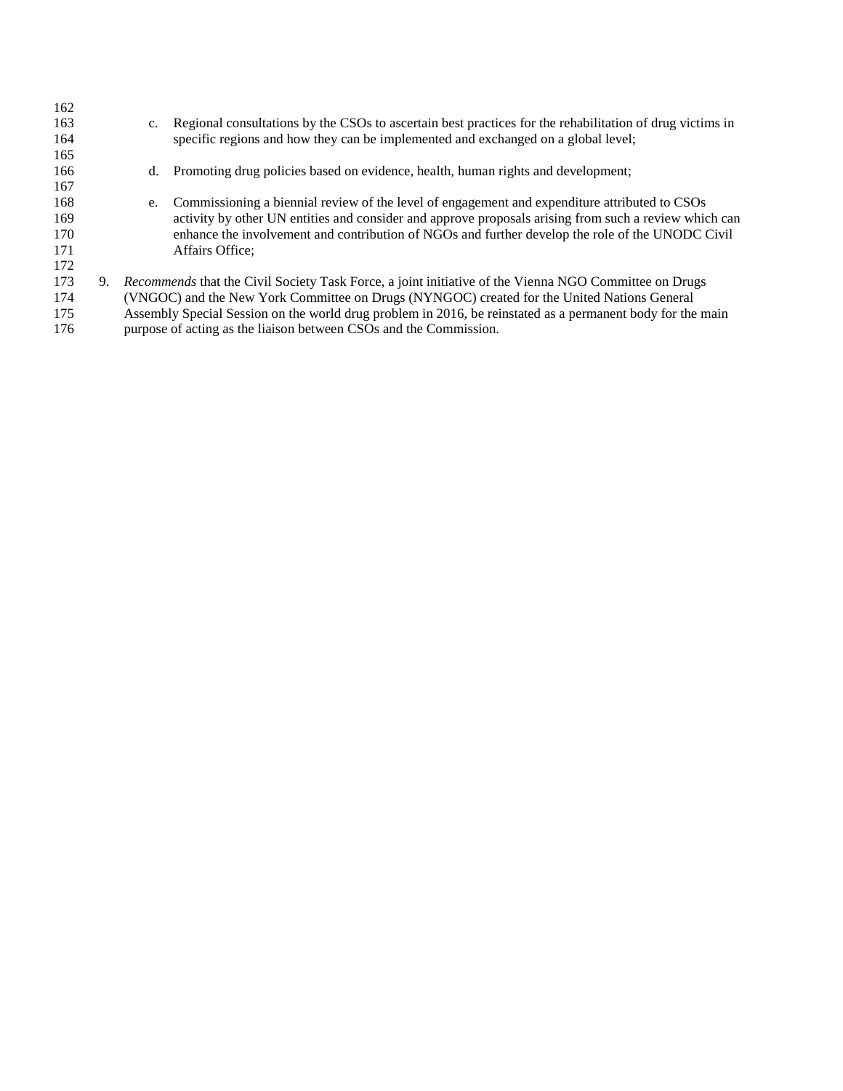| 162<br>163<br>164<br>165               | Regional consultations by the CSOs to ascertain best practices for the rehabilitation of drug victims in<br>$c_{\cdot}$<br>specific regions and how they can be implemented and exchanged on a global level;                                                                                                                                                                               |
|----------------------------------------|--------------------------------------------------------------------------------------------------------------------------------------------------------------------------------------------------------------------------------------------------------------------------------------------------------------------------------------------------------------------------------------------|
| 166                                    | Promoting drug policies based on evidence, health, human rights and development;<br>d.                                                                                                                                                                                                                                                                                                     |
| 167<br>168<br>169<br>170<br>171<br>172 | Commissioning a biennial review of the level of engagement and expenditure attributed to CSOs<br>e.<br>activity by other UN entities and consider and approve proposals arising from such a review which can<br>enhance the involvement and contribution of NGOs and further develop the role of the UNODC Civil<br>Affairs Office:                                                        |
| 173<br>174<br>175<br>176               | 9. Recommends that the Civil Society Task Force, a joint initiative of the Vienna NGO Committee on Drugs<br>(VNGOC) and the New York Committee on Drugs (NYNGOC) created for the United Nations General<br>Assembly Special Session on the world drug problem in 2016, be reinstated as a permanent body for the main<br>purpose of acting as the liaison between CSOs and the Commission. |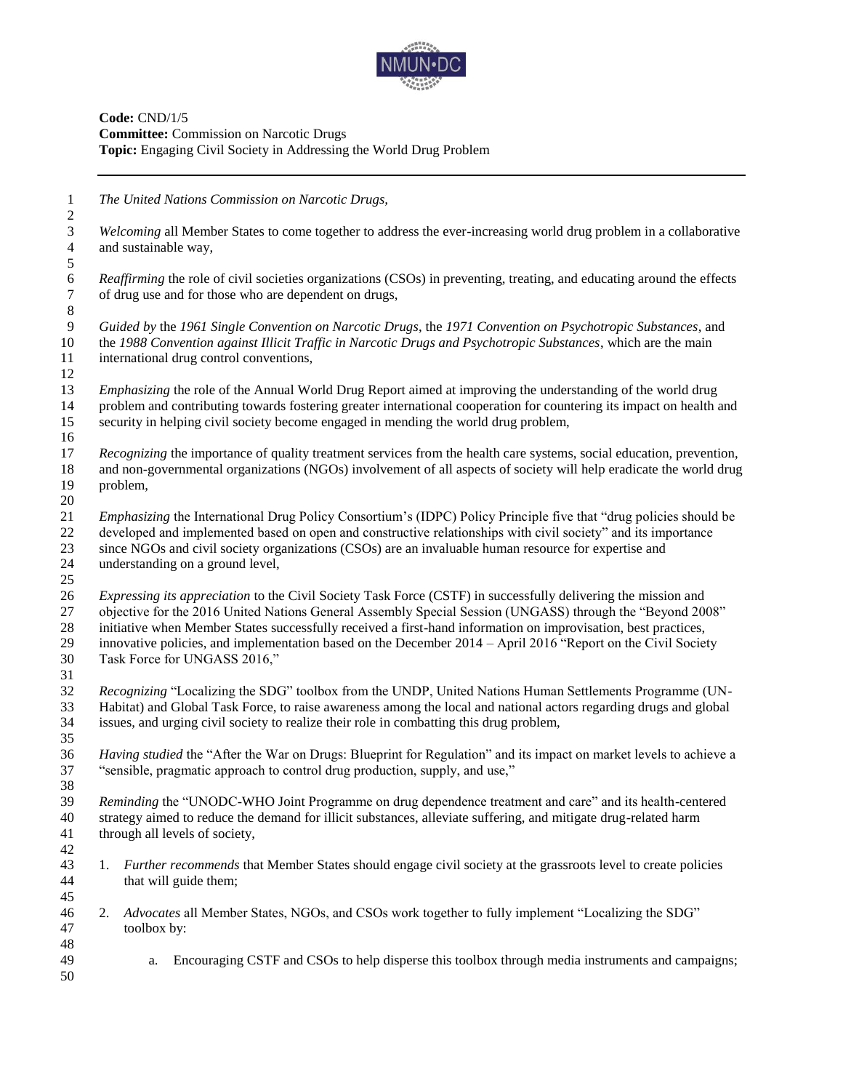

**Code:** CND/1/5 **Committee:** Commission on Narcotic Drugs **Topic:** Engaging Civil Society in Addressing the World Drug Problem

*The United Nations Commission on Narcotic Drugs,*

 *Welcoming* all Member States to come together to address the ever-increasing world drug problem in a collaborative and sustainable way,

6 *Reaffirming* the role of civil societies organizations (CSOs) in preventing, treating, and educating around the effects of drug use and for those who are dependent on drugs, of drug use and for those who are dependent on drugs, 

 *Guided by* the *1961 Single Convention on Narcotic Drugs*, the *1971 Convention on Psychotropic Substances*, and the *1988 Convention against Illicit Traffic in Narcotic Drugs and Psychotropic Substances*, which are the main international drug control conventions,

 *Emphasizing* the role of the Annual World Drug Report aimed at improving the understanding of the world drug problem and contributing towards fostering greater international cooperation for countering its impact on health and security in helping civil society become engaged in mending the world drug problem,

 *Recognizing* the importance of quality treatment services from the health care systems, social education, prevention, and non-governmental organizations (NGOs) involvement of all aspects of society will help eradicate the world drug problem, 

 *Emphasizing* the International Drug Policy Consortium's (IDPC) Policy Principle five that "drug policies should be developed and implemented based on open and constructive relationships with civil society" and its importance since NGOs and civil society organizations (CSOs) are an invaluable human resource for expertise and understanding on a ground level,

 *Expressing its appreciation* to the Civil Society Task Force (CSTF) in successfully delivering the mission and objective for the 2016 United Nations General Assembly Special Session (UNGASS) through the "Beyond 2008" initiative when Member States successfully received a first-hand information on improvisation, best practices, innovative policies, and implementation based on the December 2014 – April 2016 "Report on the Civil Society

Task Force for UNGASS 2016,"

 *Recognizing* "Localizing the SDG" toolbox from the UNDP, United Nations Human Settlements Programme (UN- Habitat) and Global Task Force, to raise awareness among the local and national actors regarding drugs and global issues, and urging civil society to realize their role in combatting this drug problem,

 *Having studied* the "After the War on Drugs: Blueprint for Regulation" and its impact on market levels to achieve a "sensible, pragmatic approach to control drug production, supply, and use,"

 *Reminding* the "UNODC-WHO Joint Programme on drug dependence treatment and care" and its health-centered strategy aimed to reduce the demand for illicit substances, alleviate suffering, and mitigate drug-related harm through all levels of society, 

- 1. *Further recommends* that Member States should engage civil society at the grassroots level to create policies that will guide them;
- 2. *Advocates* all Member States, NGOs, and CSOs work together to fully implement "Localizing the SDG" toolbox by:
- a. Encouraging CSTF and CSOs to help disperse this toolbox through media instruments and campaigns;
-